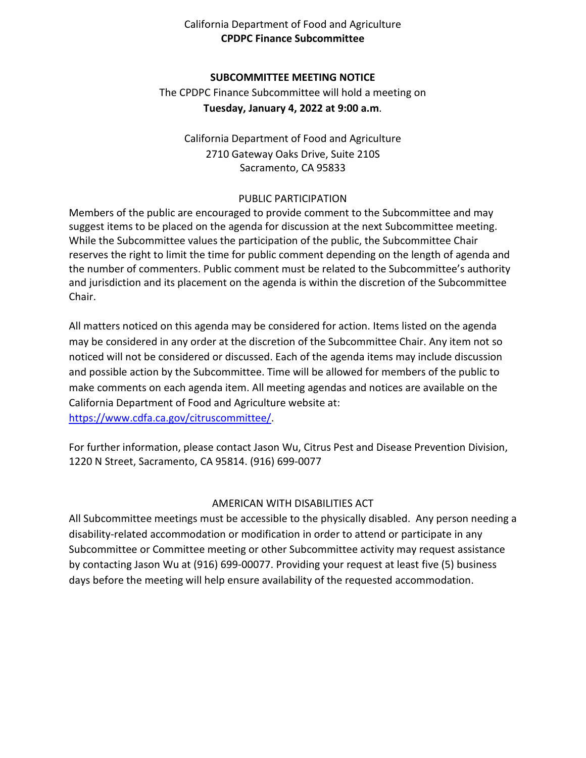## California Department of Food and Agriculture **CPDPC Finance Subcommittee**

### **SUBCOMMITTEE MEETING NOTICE**

The CPDPC Finance Subcommittee will hold a meeting on **Tuesday, January 4, 2022 at 9:00 a.m**.

California Department of Food and Agriculture 2710 Gateway Oaks Drive, Suite 210S Sacramento, CA 95833

#### PUBLIC PARTICIPATION

 suggest items to be placed on the agenda for discussion at the next Subcommittee meeting. While the Subcommittee values the participation of the public, the Subcommittee Chair Members of the public are encouraged to provide comment to the Subcommittee and may reserves the right to limit the time for public comment depending on the length of agenda and the number of commenters. Public comment must be related to the Subcommittee's authority and jurisdiction and its placement on the agenda is within the discretion of the Subcommittee Chair.

 may be considered in any order at the discretion of the Subcommittee Chair. Any item not so noticed will not be considered or discussed. Each of the agenda items may include discussion and possible action by the Subcommittee. Time will be allowed for members of the public to make comments on each agenda item. All meeting agendas and notices are available on the All matters noticed on this agenda may be considered for action. Items listed on the agenda California Department of Food and Agriculture website at: [https://www.cdfa.ca.gov/citruscommittee/.](https://www.cdfa.ca.gov/citruscommittee/)

 For further information, please contact Jason Wu, Citrus Pest and Disease Prevention Division, 1220 N Street, Sacramento, CA 95814. (916) 699-0077

## AMERICAN WITH DISABILITIES ACT

 All Subcommittee meetings must be accessible to the physically disabled. Any person needing a days before the meeting will help ensure availability of the requested accommodation. disability-related accommodation or modification in order to attend or participate in any Subcommittee or Committee meeting or other Subcommittee activity may request assistance by contacting Jason Wu at (916) 699-00077. Providing your request at least five (5) business